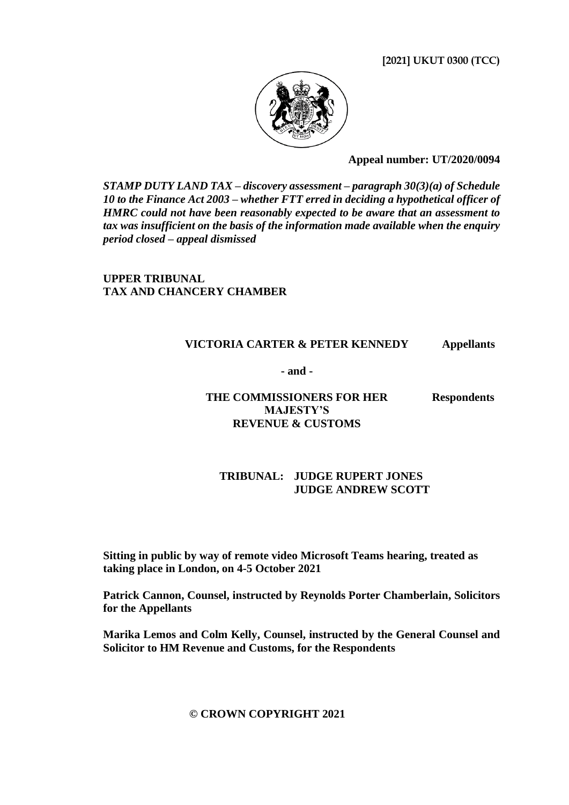**[2021] UKUT 0300 (TCC)**



**Appeal number: UT/2020/0094**

*STAMP DUTY LAND TAX – discovery assessment – paragraph 30(3)(a) of Schedule 10 to the Finance Act 2003 – whether FTT erred in deciding a hypothetical officer of HMRC could not have been reasonably expected to be aware that an assessment to tax was insufficient on the basis of the information made available when the enquiry period closed – appeal dismissed*

**UPPER TRIBUNAL TAX AND CHANCERY CHAMBER**

### **VICTORIA CARTER & PETER KENNEDY Appellants**

**- and -**

**THE COMMISSIONERS FOR HER MAJESTY'S REVENUE & CUSTOMS**

**Respondents**

#### **TRIBUNAL: JUDGE RUPERT JONES JUDGE ANDREW SCOTT**

**Sitting in public by way of remote video Microsoft Teams hearing, treated as taking place in London, on 4-5 October 2021**

**Patrick Cannon, Counsel, instructed by Reynolds Porter Chamberlain, Solicitors for the Appellants**

**Marika Lemos and Colm Kelly, Counsel, instructed by the General Counsel and Solicitor to HM Revenue and Customs, for the Respondents**

#### **© CROWN COPYRIGHT 2021**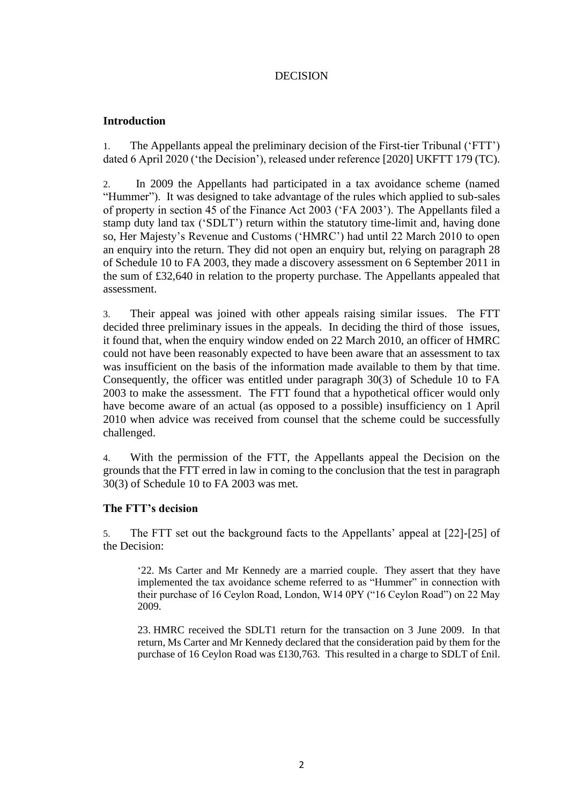## DECISION

### **Introduction**

1. The Appellants appeal the preliminary decision of the First-tier Tribunal ('FTT') dated 6 April 2020 ('the Decision'), released under reference [2020] UKFTT 179 (TC).

2. In 2009 the Appellants had participated in a tax avoidance scheme (named "Hummer"). It was designed to take advantage of the rules which applied to sub-sales of property in section 45 of the Finance Act 2003 ('FA 2003'). The Appellants filed a stamp duty land tax ('SDLT') return within the statutory time-limit and, having done so, Her Majesty's Revenue and Customs ('HMRC') had until 22 March 2010 to open an enquiry into the return. They did not open an enquiry but, relying on paragraph 28 of Schedule 10 to FA 2003, they made a discovery assessment on 6 September 2011 in the sum of £32,640 in relation to the property purchase. The Appellants appealed that assessment.

3. Their appeal was joined with other appeals raising similar issues. The FTT decided three preliminary issues in the appeals. In deciding the third of those issues, it found that, when the enquiry window ended on 22 March 2010, an officer of HMRC could not have been reasonably expected to have been aware that an assessment to tax was insufficient on the basis of the information made available to them by that time. Consequently, the officer was entitled under paragraph 30(3) of Schedule 10 to FA 2003 to make the assessment. The FTT found that a hypothetical officer would only have become aware of an actual (as opposed to a possible) insufficiency on 1 April 2010 when advice was received from counsel that the scheme could be successfully challenged.

4. With the permission of the FTT, the Appellants appeal the Decision on the grounds that the FTT erred in law in coming to the conclusion that the test in paragraph 30(3) of Schedule 10 to FA 2003 was met.

#### **The FTT's decision**

5. The FTT set out the background facts to the Appellants' appeal at [22]-[25] of the Decision:

'22. Ms Carter and Mr Kennedy are a married couple. They assert that they have implemented the tax avoidance scheme referred to as "Hummer" in connection with their purchase of 16 Ceylon Road, London, W14 0PY ("16 Ceylon Road") on 22 May 2009.

23. HMRC received the SDLT1 return for the transaction on 3 June 2009. In that return, Ms Carter and Mr Kennedy declared that the consideration paid by them for the purchase of 16 Ceylon Road was £130,763. This resulted in a charge to SDLT of £nil.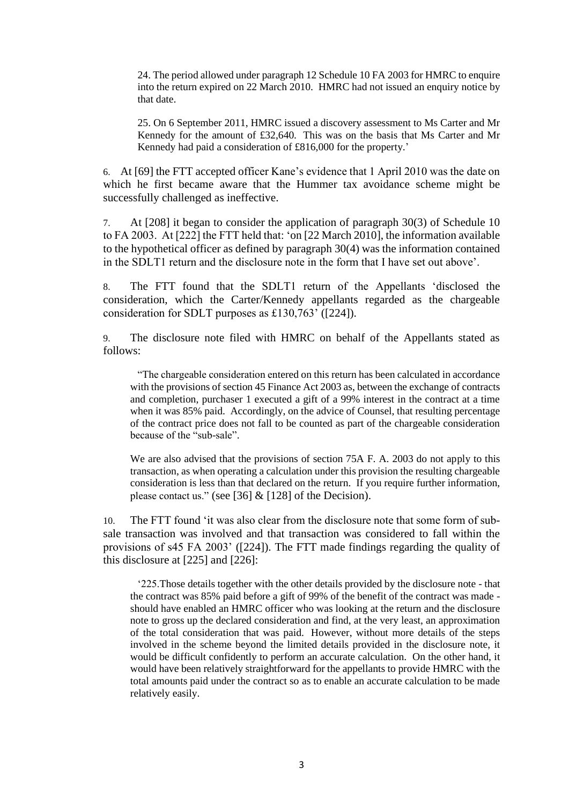24. The period allowed under paragraph 12 Schedule 10 FA 2003 for HMRC to enquire into the return expired on 22 March 2010. HMRC had not issued an enquiry notice by that date.

25. On 6 September 2011, HMRC issued a discovery assessment to Ms Carter and Mr Kennedy for the amount of £32,640. This was on the basis that Ms Carter and Mr Kennedy had paid a consideration of £816,000 for the property.'

6. At [69] the FTT accepted officer Kane's evidence that 1 April 2010 was the date on which he first became aware that the Hummer tax avoidance scheme might be successfully challenged as ineffective.

7. At [208] it began to consider the application of paragraph 30(3) of Schedule 10 to FA 2003. At [222] the FTT held that: 'on [22 March 2010], the information available to the hypothetical officer as defined by paragraph 30(4) was the information contained in the SDLT1 return and the disclosure note in the form that I have set out above'.

8. The FTT found that the SDLT1 return of the Appellants 'disclosed the consideration, which the Carter/Kennedy appellants regarded as the chargeable consideration for SDLT purposes as £130,763' ([224]).

9. The disclosure note filed with HMRC on behalf of the Appellants stated as follows:

"The chargeable consideration entered on this return has been calculated in accordance with the provisions of section 45 Finance Act 2003 as, between the exchange of contracts and completion, purchaser 1 executed a gift of a 99% interest in the contract at a time when it was 85% paid. Accordingly, on the advice of Counsel, that resulting percentage of the contract price does not fall to be counted as part of the chargeable consideration because of the "sub-sale".

We are also advised that the provisions of section 75A F. A. 2003 do not apply to this transaction, as when operating a calculation under this provision the resulting chargeable consideration is less than that declared on the return. If you require further information, please contact us." (see [36]  $&$  [128] of the Decision).

10. The FTT found 'it was also clear from the disclosure note that some form of subsale transaction was involved and that transaction was considered to fall within the provisions of s45 FA 2003' ([224]). The FTT made findings regarding the quality of this disclosure at [225] and [226]:

'225.Those details together with the other details provided by the disclosure note - that the contract was 85% paid before a gift of 99% of the benefit of the contract was made should have enabled an HMRC officer who was looking at the return and the disclosure note to gross up the declared consideration and find, at the very least, an approximation of the total consideration that was paid. However, without more details of the steps involved in the scheme beyond the limited details provided in the disclosure note, it would be difficult confidently to perform an accurate calculation. On the other hand, it would have been relatively straightforward for the appellants to provide HMRC with the total amounts paid under the contract so as to enable an accurate calculation to be made relatively easily.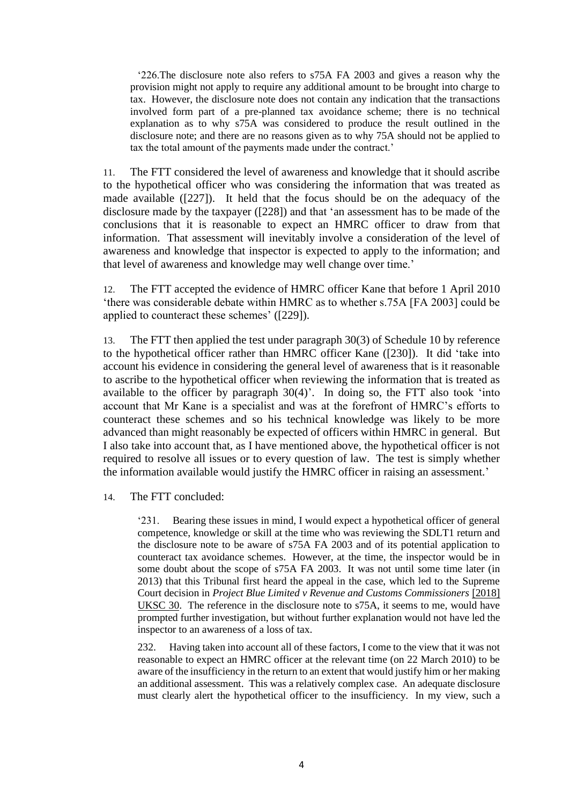'226.The disclosure note also refers to s75A FA 2003 and gives a reason why the provision might not apply to require any additional amount to be brought into charge to tax. However, the disclosure note does not contain any indication that the transactions involved form part of a pre-planned tax avoidance scheme; there is no technical explanation as to why s75A was considered to produce the result outlined in the disclosure note; and there are no reasons given as to why 75A should not be applied to tax the total amount of the payments made under the contract.'

11. The FTT considered the level of awareness and knowledge that it should ascribe to the hypothetical officer who was considering the information that was treated as made available ([227]). It held that the focus should be on the adequacy of the disclosure made by the taxpayer ([228]) and that 'an assessment has to be made of the conclusions that it is reasonable to expect an HMRC officer to draw from that information. That assessment will inevitably involve a consideration of the level of awareness and knowledge that inspector is expected to apply to the information; and that level of awareness and knowledge may well change over time.'

12. The FTT accepted the evidence of HMRC officer Kane that before 1 April 2010 'there was considerable debate within HMRC as to whether s.75A [FA 2003] could be applied to counteract these schemes' ([229]).

13. The FTT then applied the test under paragraph 30(3) of Schedule 10 by reference to the hypothetical officer rather than HMRC officer Kane ([230]). It did 'take into account his evidence in considering the general level of awareness that is it reasonable to ascribe to the hypothetical officer when reviewing the information that is treated as available to the officer by paragraph 30(4)'. In doing so, the FTT also took 'into account that Mr Kane is a specialist and was at the forefront of HMRC's efforts to counteract these schemes and so his technical knowledge was likely to be more advanced than might reasonably be expected of officers within HMRC in general. But I also take into account that, as I have mentioned above, the hypothetical officer is not required to resolve all issues or to every question of law. The test is simply whether the information available would justify the HMRC officer in raising an assessment.'

14. The FTT concluded:

'231. Bearing these issues in mind, I would expect a hypothetical officer of general competence, knowledge or skill at the time who was reviewing the SDLT1 return and the disclosure note to be aware of s75A FA 2003 and of its potential application to counteract tax avoidance schemes. However, at the time, the inspector would be in some doubt about the scope of s75A FA 2003. It was not until some time later (in 2013) that this Tribunal first heard the appeal in the case, which led to the Supreme Court decision in *Project Blue Limited v Revenue and Customs Commissioners* [\[2018\]](https://www.bailii.org/uk/cases/UKSC/2018/30.html)  [UKSC 30.](https://www.bailii.org/uk/cases/UKSC/2018/30.html) The reference in the disclosure note to s75A, it seems to me, would have prompted further investigation, but without further explanation would not have led the inspector to an awareness of a loss of tax.

232. Having taken into account all of these factors, I come to the view that it was not reasonable to expect an HMRC officer at the relevant time (on 22 March 2010) to be aware of the insufficiency in the return to an extent that would justify him or her making an additional assessment. This was a relatively complex case. An adequate disclosure must clearly alert the hypothetical officer to the insufficiency. In my view, such a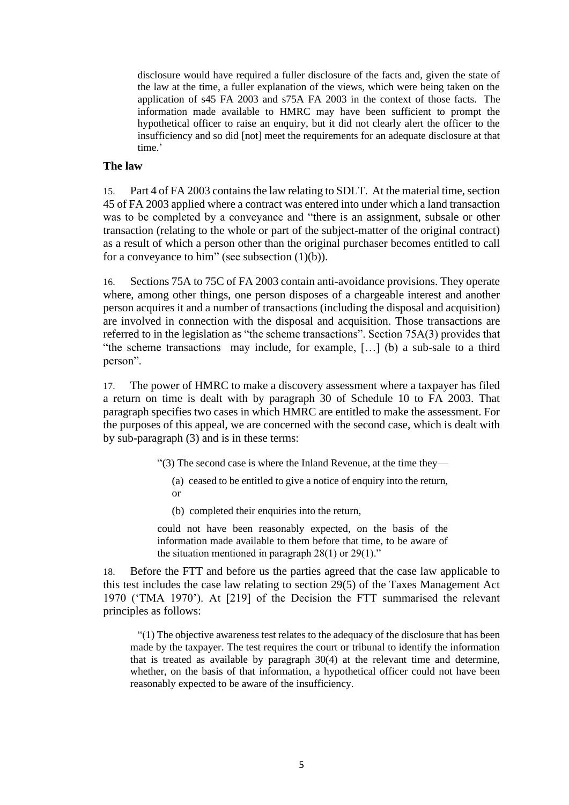disclosure would have required a fuller disclosure of the facts and, given the state of the law at the time, a fuller explanation of the views, which were being taken on the application of s45 FA 2003 and s75A FA 2003 in the context of those facts. The information made available to HMRC may have been sufficient to prompt the hypothetical officer to raise an enquiry, but it did not clearly alert the officer to the insufficiency and so did [not] meet the requirements for an adequate disclosure at that time.'

#### **The law**

15. Part 4 of FA 2003 contains the law relating to SDLT. At the material time, section 45 of FA 2003 applied where a contract was entered into under which a land transaction was to be completed by a conveyance and "there is an assignment, subsale or other transaction (relating to the whole or part of the subject-matter of the original contract) as a result of which a person other than the original purchaser becomes entitled to call for a conveyance to him" (see subsection  $(1)(b)$ ).

16. Sections 75A to 75C of FA 2003 contain anti-avoidance provisions. They operate where, among other things, one person disposes of a chargeable interest and another person acquires it and a number of transactions (including the disposal and acquisition) are involved in connection with the disposal and acquisition. Those transactions are referred to in the legislation as "the scheme transactions". Section 75A(3) provides that "the scheme transactions may include, for example, […] (b) a sub-sale to a third person".

17. The power of HMRC to make a discovery assessment where a taxpayer has filed a return on time is dealt with by paragraph 30 of Schedule 10 to FA 2003. That paragraph specifies two cases in which HMRC are entitled to make the assessment. For the purposes of this appeal, we are concerned with the second case, which is dealt with by sub-paragraph (3) and is in these terms:

- "(3) The second case is where the Inland Revenue, at the time they—
	- (a) ceased to be entitled to give a notice of enquiry into the return, or
	- (b) completed their enquiries into the return,

could not have been reasonably expected, on the basis of the information made available to them before that time, to be aware of the situation mentioned in paragraph  $28(1)$  or  $29(1)$ ."

18. Before the FTT and before us the parties agreed that the case law applicable to this test includes the case law relating to section 29(5) of the Taxes Management Act 1970 ('TMA 1970'). At [219] of the Decision the FTT summarised the relevant principles as follows:

"(1) The objective awareness test relates to the adequacy of the disclosure that has been made by the taxpayer. The test requires the court or tribunal to identify the information that is treated as available by paragraph 30(4) at the relevant time and determine, whether, on the basis of that information, a hypothetical officer could not have been reasonably expected to be aware of the insufficiency.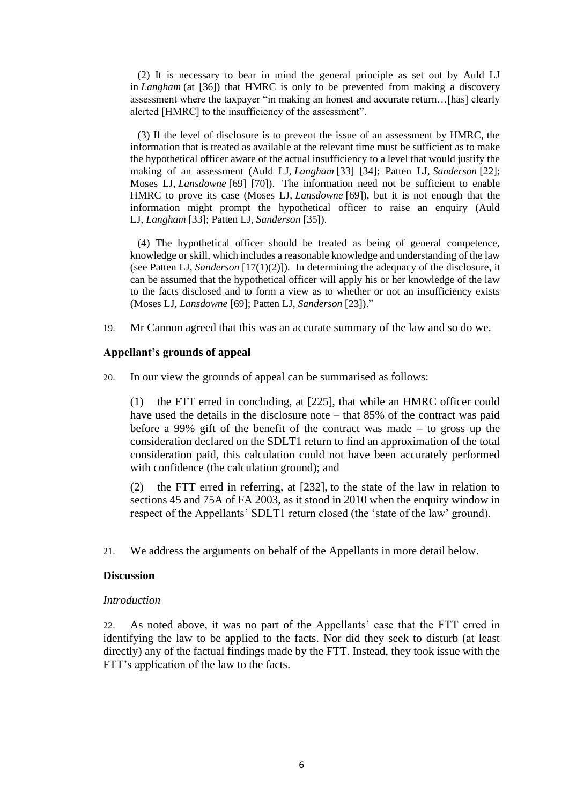(2) It is necessary to bear in mind the general principle as set out by Auld LJ in *Langham* (at [36]) that HMRC is only to be prevented from making a discovery assessment where the taxpayer "in making an honest and accurate return…[has] clearly alerted [HMRC] to the insufficiency of the assessment".

(3) If the level of disclosure is to prevent the issue of an assessment by HMRC, the information that is treated as available at the relevant time must be sufficient as to make the hypothetical officer aware of the actual insufficiency to a level that would justify the making of an assessment (Auld LJ, *Langham* [33] [34]; Patten LJ, *Sanderson* [22]; Moses LJ, *Lansdowne* [69] [70]). The information need not be sufficient to enable HMRC to prove its case (Moses LJ, *Lansdowne* [69]), but it is not enough that the information might prompt the hypothetical officer to raise an enquiry (Auld LJ, *Langham* [33]; Patten LJ, *Sanderson* [35]).

(4) The hypothetical officer should be treated as being of general competence, knowledge or skill, which includes a reasonable knowledge and understanding of the law (see Patten LJ, *Sanderson* [17(1)(2)]). In determining the adequacy of the disclosure, it can be assumed that the hypothetical officer will apply his or her knowledge of the law to the facts disclosed and to form a view as to whether or not an insufficiency exists (Moses LJ, *Lansdowne* [69]; Patten LJ, *Sanderson* [23])."

19. Mr Cannon agreed that this was an accurate summary of the law and so do we.

#### **Appellant's grounds of appeal**

20. In our view the grounds of appeal can be summarised as follows:

(1) the FTT erred in concluding, at [225], that while an HMRC officer could have used the details in the disclosure note – that 85% of the contract was paid before a 99% gift of the benefit of the contract was made – to gross up the consideration declared on the SDLT1 return to find an approximation of the total consideration paid, this calculation could not have been accurately performed with confidence (the calculation ground); and

(2) the FTT erred in referring, at [232], to the state of the law in relation to sections 45 and 75A of FA 2003, as it stood in 2010 when the enquiry window in respect of the Appellants' SDLT1 return closed (the 'state of the law' ground).

21. We address the arguments on behalf of the Appellants in more detail below.

#### **Discussion**

#### *Introduction*

22. As noted above, it was no part of the Appellants' case that the FTT erred in identifying the law to be applied to the facts. Nor did they seek to disturb (at least directly) any of the factual findings made by the FTT. Instead, they took issue with the FTT's application of the law to the facts.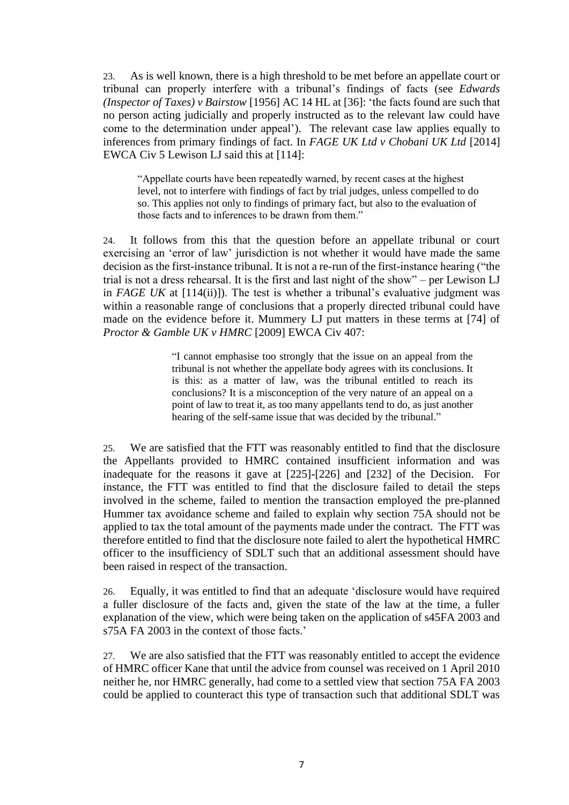23. As is well known, there is a high threshold to be met before an appellate court or tribunal can properly interfere with a tribunal's findings of facts (see *Edwards (Inspector of Taxes) v Bairstow* [1956] AC 14 HL at [36]: 'the facts found are such that no person acting judicially and properly instructed as to the relevant law could have come to the determination under appeal'). The relevant case law applies equally to inferences from primary findings of fact. In *FAGE UK Ltd v Chobani UK Ltd* [2014] EWCA Civ 5 Lewison LJ said this at [114]:

"Appellate courts have been repeatedly warned, by recent cases at the highest level, not to interfere with findings of fact by trial judges, unless compelled to do so. This applies not only to findings of primary fact, but also to the evaluation of those facts and to inferences to be drawn from them."

24. It follows from this that the question before an appellate tribunal or court exercising an 'error of law' jurisdiction is not whether it would have made the same decision as the first-instance tribunal. It is not a re-run of the first-instance hearing ("the trial is not a dress rehearsal. It is the first and last night of the show" – per Lewison LJ in *FAGE UK* at [114(ii)]). The test is whether a tribunal's evaluative judgment was within a reasonable range of conclusions that a properly directed tribunal could have made on the evidence before it. Mummery LJ put matters in these terms at [74] of *Proctor & Gamble UK v HMRC* [2009] EWCA Civ 407:

> "I cannot emphasise too strongly that the issue on an appeal from the tribunal is not whether the appellate body agrees with its conclusions. It is this: as a matter of law, was the tribunal entitled to reach its conclusions? It is a misconception of the very nature of an appeal on a point of law to treat it, as too many appellants tend to do, as just another hearing of the self-same issue that was decided by the tribunal."

25. We are satisfied that the FTT was reasonably entitled to find that the disclosure the Appellants provided to HMRC contained insufficient information and was inadequate for the reasons it gave at [225]-[226] and [232] of the Decision. For instance, the FTT was entitled to find that the disclosure failed to detail the steps involved in the scheme, failed to mention the transaction employed the pre-planned Hummer tax avoidance scheme and failed to explain why section 75A should not be applied to tax the total amount of the payments made under the contract. The FTT was therefore entitled to find that the disclosure note failed to alert the hypothetical HMRC officer to the insufficiency of SDLT such that an additional assessment should have been raised in respect of the transaction.

26. Equally, it was entitled to find that an adequate 'disclosure would have required a fuller disclosure of the facts and, given the state of the law at the time, a fuller explanation of the view, which were being taken on the application of s45FA 2003 and s75A FA 2003 in the context of those facts.'

27. We are also satisfied that the FTT was reasonably entitled to accept the evidence of HMRC officer Kane that until the advice from counsel was received on 1 April 2010 neither he, nor HMRC generally, had come to a settled view that section 75A FA 2003 could be applied to counteract this type of transaction such that additional SDLT was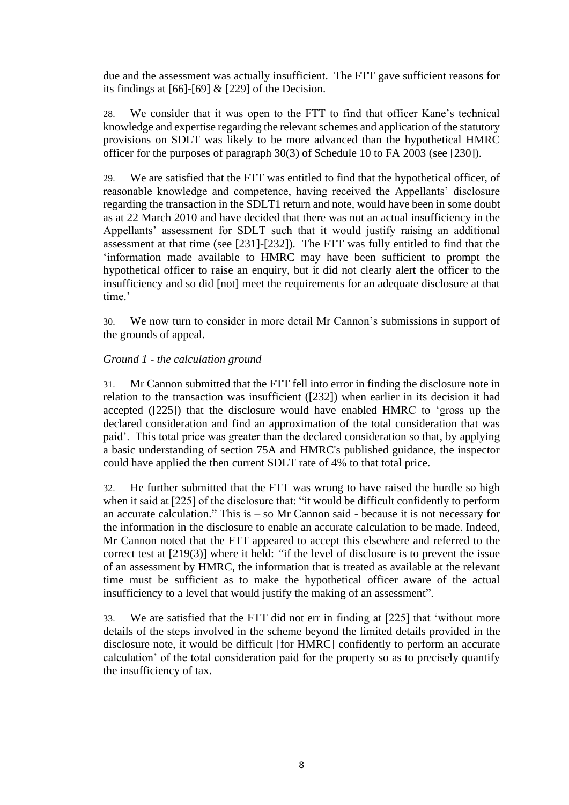due and the assessment was actually insufficient. The FTT gave sufficient reasons for its findings at [66]-[69] & [229] of the Decision.

28. We consider that it was open to the FTT to find that officer Kane's technical knowledge and expertise regarding the relevant schemes and application of the statutory provisions on SDLT was likely to be more advanced than the hypothetical HMRC officer for the purposes of paragraph 30(3) of Schedule 10 to FA 2003 (see [230]).

29. We are satisfied that the FTT was entitled to find that the hypothetical officer, of reasonable knowledge and competence, having received the Appellants' disclosure regarding the transaction in the SDLT1 return and note, would have been in some doubt as at 22 March 2010 and have decided that there was not an actual insufficiency in the Appellants' assessment for SDLT such that it would justify raising an additional assessment at that time (see [231]-[232]). The FTT was fully entitled to find that the 'information made available to HMRC may have been sufficient to prompt the hypothetical officer to raise an enquiry, but it did not clearly alert the officer to the insufficiency and so did [not] meet the requirements for an adequate disclosure at that time.'

30. We now turn to consider in more detail Mr Cannon's submissions in support of the grounds of appeal.

### *Ground 1 - the calculation ground*

31. Mr Cannon submitted that the FTT fell into error in finding the disclosure note in relation to the transaction was insufficient ([232]) when earlier in its decision it had accepted ([225]) that the disclosure would have enabled HMRC to 'gross up the declared consideration and find an approximation of the total consideration that was paid'. This total price was greater than the declared consideration so that, by applying a basic understanding of section 75A and HMRC's published guidance, the inspector could have applied the then current SDLT rate of 4% to that total price.

32. He further submitted that the FTT was wrong to have raised the hurdle so high when it said at [225] of the disclosure that: "it would be difficult confidently to perform an accurate calculation." This is – so Mr Cannon said - because it is not necessary for the information in the disclosure to enable an accurate calculation to be made. Indeed, Mr Cannon noted that the FTT appeared to accept this elsewhere and referred to the correct test at [219(3)] where it held: *"*if the level of disclosure is to prevent the issue of an assessment by HMRC, the information that is treated as available at the relevant time must be sufficient as to make the hypothetical officer aware of the actual insufficiency to a level that would justify the making of an assessment".

33. We are satisfied that the FTT did not err in finding at [225] that 'without more details of the steps involved in the scheme beyond the limited details provided in the disclosure note, it would be difficult [for HMRC] confidently to perform an accurate calculation' of the total consideration paid for the property so as to precisely quantify the insufficiency of tax.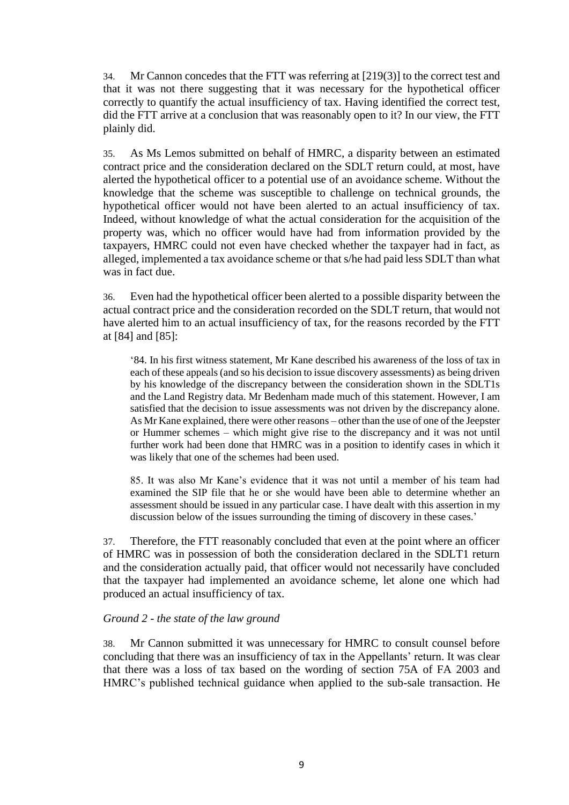34. Mr Cannon concedes that the FTT was referring at [219(3)] to the correct test and that it was not there suggesting that it was necessary for the hypothetical officer correctly to quantify the actual insufficiency of tax. Having identified the correct test, did the FTT arrive at a conclusion that was reasonably open to it? In our view, the FTT plainly did.

35. As Ms Lemos submitted on behalf of HMRC, a disparity between an estimated contract price and the consideration declared on the SDLT return could, at most, have alerted the hypothetical officer to a potential use of an avoidance scheme. Without the knowledge that the scheme was susceptible to challenge on technical grounds, the hypothetical officer would not have been alerted to an actual insufficiency of tax. Indeed, without knowledge of what the actual consideration for the acquisition of the property was, which no officer would have had from information provided by the taxpayers, HMRC could not even have checked whether the taxpayer had in fact, as alleged, implemented a tax avoidance scheme or that s/he had paid less SDLT than what was in fact due.

36. Even had the hypothetical officer been alerted to a possible disparity between the actual contract price and the consideration recorded on the SDLT return, that would not have alerted him to an actual insufficiency of tax, for the reasons recorded by the FTT at [84] and [85]:

'84. In his first witness statement, Mr Kane described his awareness of the loss of tax in each of these appeals (and so his decision to issue discovery assessments) as being driven by his knowledge of the discrepancy between the consideration shown in the SDLT1s and the Land Registry data. Mr Bedenham made much of this statement. However, I am satisfied that the decision to issue assessments was not driven by the discrepancy alone. As Mr Kane explained, there were other reasons – other than the use of one of the Jeepster or Hummer schemes – which might give rise to the discrepancy and it was not until further work had been done that HMRC was in a position to identify cases in which it was likely that one of the schemes had been used.

85. It was also Mr Kane's evidence that it was not until a member of his team had examined the SIP file that he or she would have been able to determine whether an assessment should be issued in any particular case. I have dealt with this assertion in my discussion below of the issues surrounding the timing of discovery in these cases.'

37. Therefore, the FTT reasonably concluded that even at the point where an officer of HMRC was in possession of both the consideration declared in the SDLT1 return and the consideration actually paid, that officer would not necessarily have concluded that the taxpayer had implemented an avoidance scheme, let alone one which had produced an actual insufficiency of tax.

#### *Ground 2 - the state of the law ground*

38. Mr Cannon submitted it was unnecessary for HMRC to consult counsel before concluding that there was an insufficiency of tax in the Appellants' return. It was clear that there was a loss of tax based on the wording of section 75A of FA 2003 and HMRC's published technical guidance when applied to the sub-sale transaction. He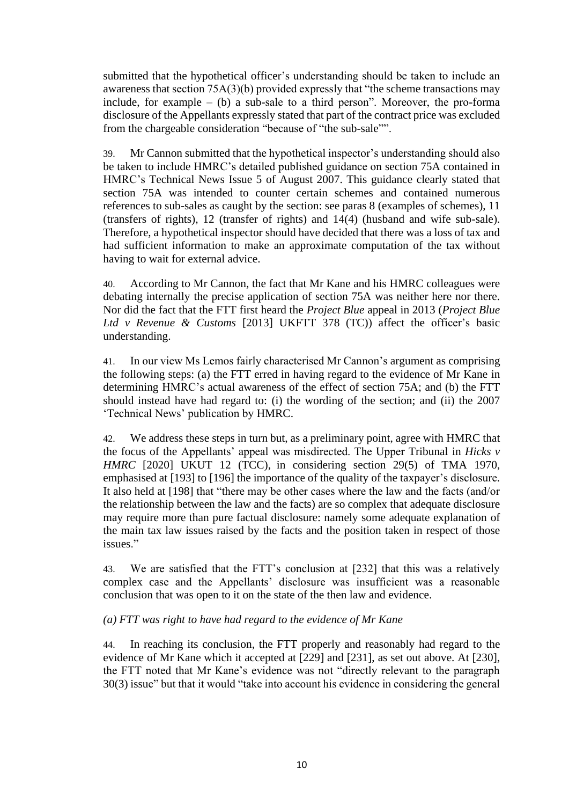submitted that the hypothetical officer's understanding should be taken to include an awareness that section 75A(3)(b) provided expressly that "the scheme transactions may include, for example  $-$  (b) a sub-sale to a third person". Moreover, the pro-forma disclosure of the Appellants expressly stated that part of the contract price was excluded from the chargeable consideration "because of "the sub-sale"".

39. Mr Cannon submitted that the hypothetical inspector's understanding should also be taken to include HMRC's detailed published guidance on section 75A contained in HMRC's Technical News Issue 5 of August 2007. This guidance clearly stated that section 75A was intended to counter certain schemes and contained numerous references to sub-sales as caught by the section: see paras 8 (examples of schemes), 11 (transfers of rights), 12 (transfer of rights) and 14(4) (husband and wife sub-sale). Therefore, a hypothetical inspector should have decided that there was a loss of tax and had sufficient information to make an approximate computation of the tax without having to wait for external advice.

40. According to Mr Cannon, the fact that Mr Kane and his HMRC colleagues were debating internally the precise application of section 75A was neither here nor there. Nor did the fact that the FTT first heard the *Project Blue* appeal in 2013 (*[Project Blue](https://www.bailii.org/cgi-bin/format.cgi?doc=/uk/cases/UKFTT/TC/2013/TC02777.html&query=(project)+AND+(blue)+AND+(first)+AND+(tier)+AND+(tax)+AND+(tribunal))  [Ltd v Revenue & Customs](https://www.bailii.org/cgi-bin/format.cgi?doc=/uk/cases/UKFTT/TC/2013/TC02777.html&query=(project)+AND+(blue)+AND+(first)+AND+(tier)+AND+(tax)+AND+(tribunal))* [2013] UKFTT 378 (TC)) affect the officer's basic understanding.

41. In our view Ms Lemos fairly characterised Mr Cannon's argument as comprising the following steps: (a) the FTT erred in having regard to the evidence of Mr Kane in determining HMRC's actual awareness of the effect of section 75A; and (b) the FTT should instead have had regard to: (i) the wording of the section; and (ii) the 2007 'Technical News' publication by HMRC.

42. We address these steps in turn but, as a preliminary point, agree with HMRC that the focus of the Appellants' appeal was misdirected. The Upper Tribunal in *Hicks v HMRC* [2020] UKUT 12 (TCC), in considering section 29(5) of TMA 1970, emphasised at [193] to [196] the importance of the quality of the taxpayer's disclosure. It also held at [198] that "there may be other cases where the law and the facts (and/or the relationship between the law and the facts) are so complex that adequate disclosure may require more than pure factual disclosure: namely some adequate explanation of the main tax law issues raised by the facts and the position taken in respect of those issues."

43. We are satisfied that the FTT's conclusion at [232] that this was a relatively complex case and the Appellants' disclosure was insufficient was a reasonable conclusion that was open to it on the state of the then law and evidence.

# *(a) FTT was right to have had regard to the evidence of Mr Kane*

44. In reaching its conclusion, the FTT properly and reasonably had regard to the evidence of Mr Kane which it accepted at [229] and [231], as set out above. At [230], the FTT noted that Mr Kane's evidence was not "directly relevant to the paragraph 30(3) issue" but that it would "take into account his evidence in considering the general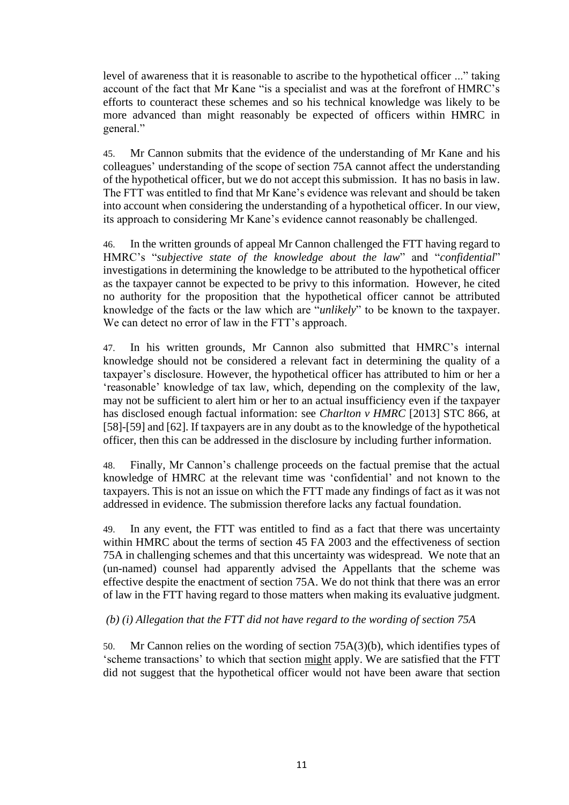level of awareness that it is reasonable to ascribe to the hypothetical officer ..." taking account of the fact that Mr Kane "is a specialist and was at the forefront of HMRC's efforts to counteract these schemes and so his technical knowledge was likely to be more advanced than might reasonably be expected of officers within HMRC in general."

45. Mr Cannon submits that the evidence of the understanding of Mr Kane and his colleagues' understanding of the scope of section 75A cannot affect the understanding of the hypothetical officer, but we do not accept this submission. It has no basis in law. The FTT was entitled to find that Mr Kane's evidence was relevant and should be taken into account when considering the understanding of a hypothetical officer. In our view, its approach to considering Mr Kane's evidence cannot reasonably be challenged.

46. In the written grounds of appeal Mr Cannon challenged the FTT having regard to HMRC's "*subjective state of the knowledge about the law*" and "*confidential*" investigations in determining the knowledge to be attributed to the hypothetical officer as the taxpayer cannot be expected to be privy to this information. However, he cited no authority for the proposition that the hypothetical officer cannot be attributed knowledge of the facts or the law which are "*unlikely*" to be known to the taxpayer. We can detect no error of law in the FTT's approach.

47. In his written grounds, Mr Cannon also submitted that HMRC's internal knowledge should not be considered a relevant fact in determining the quality of a taxpayer's disclosure. However, the hypothetical officer has attributed to him or her a 'reasonable' knowledge of tax law, which, depending on the complexity of the law, may not be sufficient to alert him or her to an actual insufficiency even if the taxpayer has disclosed enough factual information: see *Charlton v HMRC* [2013] STC 866, at [58]-[59] and [62]. If taxpayers are in any doubt as to the knowledge of the hypothetical officer, then this can be addressed in the disclosure by including further information.

48. Finally, Mr Cannon's challenge proceeds on the factual premise that the actual knowledge of HMRC at the relevant time was 'confidential' and not known to the taxpayers. This is not an issue on which the FTT made any findings of fact as it was not addressed in evidence. The submission therefore lacks any factual foundation.

49. In any event, the FTT was entitled to find as a fact that there was uncertainty within HMRC about the terms of section 45 FA 2003 and the effectiveness of section 75A in challenging schemes and that this uncertainty was widespread. We note that an (un-named) counsel had apparently advised the Appellants that the scheme was effective despite the enactment of section 75A. We do not think that there was an error of law in the FTT having regard to those matters when making its evaluative judgment.

#### *(b) (i) Allegation that the FTT did not have regard to the wording of section 75A*

50. Mr Cannon relies on the wording of section 75A(3)(b), which identifies types of 'scheme transactions' to which that section might apply. We are satisfied that the FTT did not suggest that the hypothetical officer would not have been aware that section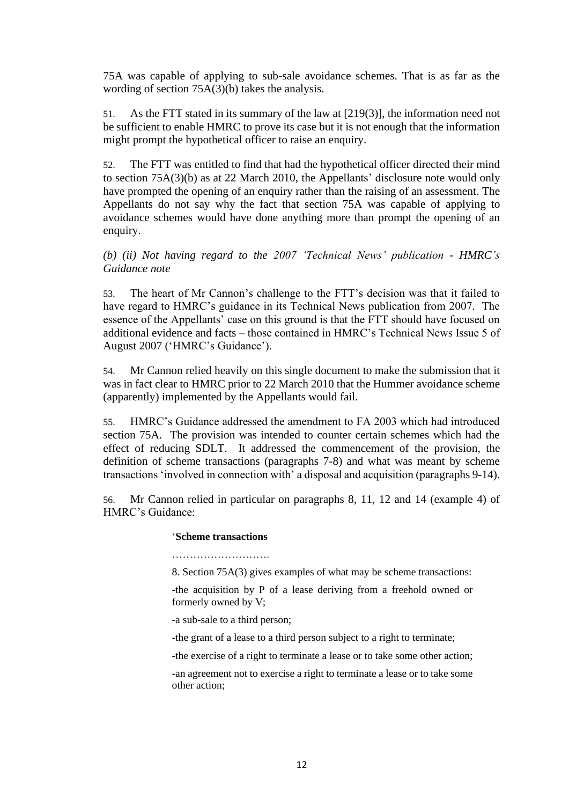75A was capable of applying to sub-sale avoidance schemes. That is as far as the wording of section 75A(3)(b) takes the analysis.

51. As the FTT stated in its summary of the law at [219(3)], the information need not be sufficient to enable HMRC to prove its case but it is not enough that the information might prompt the hypothetical officer to raise an enquiry.

52. The FTT was entitled to find that had the hypothetical officer directed their mind to section 75A(3)(b) as at 22 March 2010, the Appellants' disclosure note would only have prompted the opening of an enquiry rather than the raising of an assessment. The Appellants do not say why the fact that section 75A was capable of applying to avoidance schemes would have done anything more than prompt the opening of an enquiry.

*(b) (ii) Not having regard to the 2007 'Technical News' publication - HMRC's Guidance note*

53. The heart of Mr Cannon's challenge to the FTT's decision was that it failed to have regard to HMRC's guidance in its Technical News publication from 2007. The essence of the Appellants' case on this ground is that the FTT should have focused on additional evidence and facts – those contained in HMRC's Technical News Issue 5 of August 2007 ('HMRC's Guidance').

54. Mr Cannon relied heavily on this single document to make the submission that it was in fact clear to HMRC prior to 22 March 2010 that the Hummer avoidance scheme (apparently) implemented by the Appellants would fail.

55. HMRC's Guidance addressed the amendment to FA 2003 which had introduced section 75A. The provision was intended to counter certain schemes which had the effect of reducing SDLT. It addressed the commencement of the provision, the definition of scheme transactions (paragraphs 7-8) and what was meant by scheme transactions 'involved in connection with' a disposal and acquisition (paragraphs 9-14).

56. Mr Cannon relied in particular on paragraphs 8, 11, 12 and 14 (example 4) of HMRC's Guidance:

#### '**Scheme transactions**

………………………………

8. Section 75A(3) gives examples of what may be scheme transactions:

-the acquisition by P of a lease deriving from a freehold owned or formerly owned by V;

-a sub-sale to a third person;

-the grant of a lease to a third person subject to a right to terminate;

-the exercise of a right to terminate a lease or to take some other action;

-an agreement not to exercise a right to terminate a lease or to take some other action;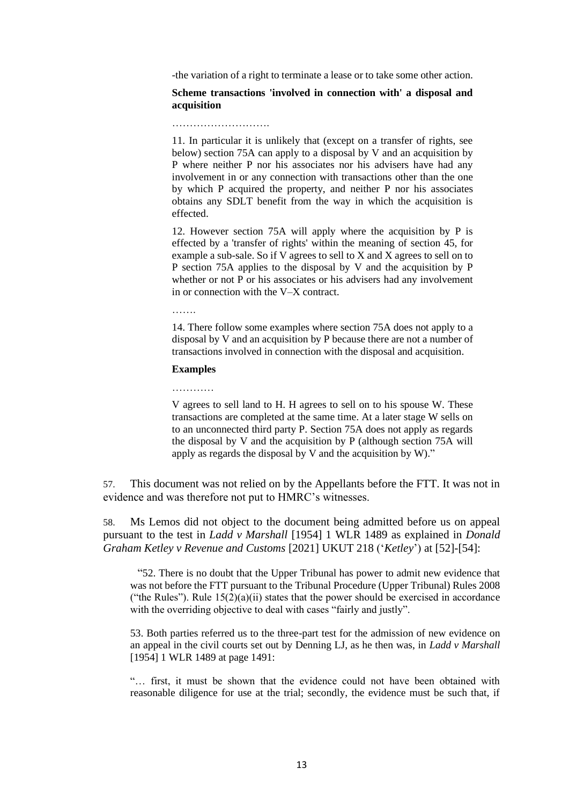-the variation of a right to terminate a lease or to take some other action.

#### **Scheme transactions 'involved in connection with' a disposal and acquisition**

……………………….

11. In particular it is unlikely that (except on a transfer of rights, see below) section 75A can apply to a disposal by V and an acquisition by P where neither P nor his associates nor his advisers have had any involvement in or any connection with transactions other than the one by which P acquired the property, and neither P nor his associates obtains any SDLT benefit from the way in which the acquisition is effected.

12. However section 75A will apply where the acquisition by P is effected by a 'transfer of rights' within the meaning of section 45, for example a sub-sale. So if V agrees to sell to X and X agrees to sell on to P section 75A applies to the disposal by V and the acquisition by P whether or not P or his associates or his advisers had any involvement in or connection with the V–X contract.

…….

14. There follow some examples where section 75A does not apply to a disposal by V and an acquisition by P because there are not a number of transactions involved in connection with the disposal and acquisition.

#### **Examples**

…………

V agrees to sell land to H. H agrees to sell on to his spouse W. These transactions are completed at the same time. At a later stage W sells on to an unconnected third party P. Section 75A does not apply as regards the disposal by V and the acquisition by P (although section 75A will apply as regards the disposal by V and the acquisition by W)."

57. This document was not relied on by the Appellants before the FTT. It was not in evidence and was therefore not put to HMRC's witnesses.

58. Ms Lemos did not object to the document being admitted before us on appeal pursuant to the test in *Ladd v Marshall* [1954] 1 WLR 1489 as explained in *Donald Graham Ketley v Revenue and Customs* [2021] UKUT 218 ('*Ketley*') at [52]-[54]:

"52. There is no doubt that the Upper Tribunal has power to admit new evidence that was not before the FTT pursuant to the Tribunal Procedure (Upper Tribunal) Rules 2008 ("the Rules"). Rule  $15(2)(a)(ii)$  states that the power should be exercised in accordance with the overriding objective to deal with cases "fairly and justly".

53. Both parties referred us to the three-part test for the admission of new evidence on an appeal in the civil courts set out by Denning LJ, as he then was, in *Ladd v Marshall* [1954] 1 WLR 1489 at page 1491:

"… first, it must be shown that the evidence could not have been obtained with reasonable diligence for use at the trial; secondly, the evidence must be such that, if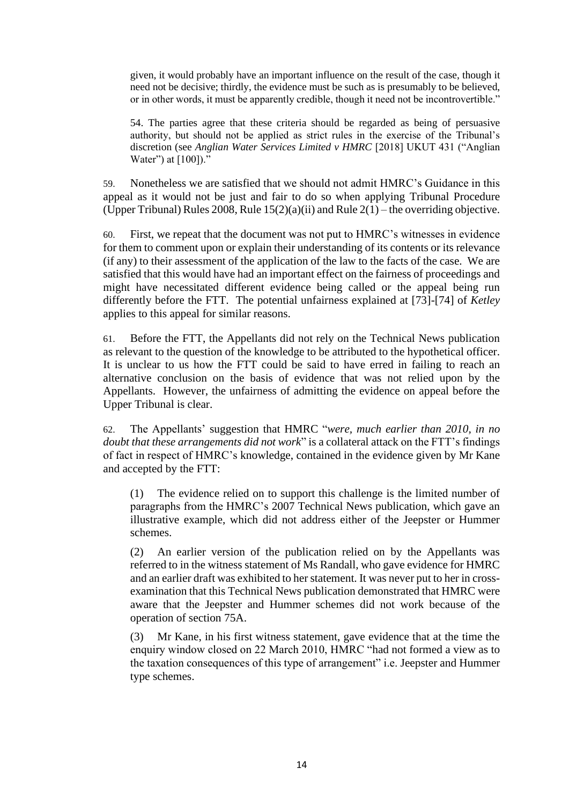given, it would probably have an important influence on the result of the case, though it need not be decisive; thirdly, the evidence must be such as is presumably to be believed, or in other words, it must be apparently credible, though it need not be incontrovertible."

54. The parties agree that these criteria should be regarded as being of persuasive authority, but should not be applied as strict rules in the exercise of the Tribunal's discretion (see *Anglian Water Services Limited v HMRC* [2018] UKUT 431 ("Anglian Water") at [100])."

59. Nonetheless we are satisfied that we should not admit HMRC's Guidance in this appeal as it would not be just and fair to do so when applying Tribunal Procedure (Upper Tribunal) Rules 2008, Rule  $15(2)(a)(ii)$  and Rule  $2(1)$  – the overriding objective.

60. First, we repeat that the document was not put to HMRC's witnesses in evidence for them to comment upon or explain their understanding of its contents or its relevance (if any) to their assessment of the application of the law to the facts of the case. We are satisfied that this would have had an important effect on the fairness of proceedings and might have necessitated different evidence being called or the appeal being run differently before the FTT. The potential unfairness explained at [73]-[74] of *Ketley* applies to this appeal for similar reasons.

61. Before the FTT, the Appellants did not rely on the Technical News publication as relevant to the question of the knowledge to be attributed to the hypothetical officer. It is unclear to us how the FTT could be said to have erred in failing to reach an alternative conclusion on the basis of evidence that was not relied upon by the Appellants. However, the unfairness of admitting the evidence on appeal before the Upper Tribunal is clear.

62. The Appellants' suggestion that HMRC "*were, much earlier than 2010, in no doubt that these arrangements did not work*" is a collateral attack on the FTT's findings of fact in respect of HMRC's knowledge, contained in the evidence given by Mr Kane and accepted by the FTT:

(1) The evidence relied on to support this challenge is the limited number of paragraphs from the HMRC's 2007 Technical News publication, which gave an illustrative example, which did not address either of the Jeepster or Hummer schemes.

(2) An earlier version of the publication relied on by the Appellants was referred to in the witness statement of Ms Randall, who gave evidence for HMRC and an earlier draft was exhibited to her statement. It was never put to her in crossexamination that this Technical News publication demonstrated that HMRC were aware that the Jeepster and Hummer schemes did not work because of the operation of section 75A.

(3) Mr Kane, in his first witness statement, gave evidence that at the time the enquiry window closed on 22 March 2010, HMRC "had not formed a view as to the taxation consequences of this type of arrangement" i.e. Jeepster and Hummer type schemes.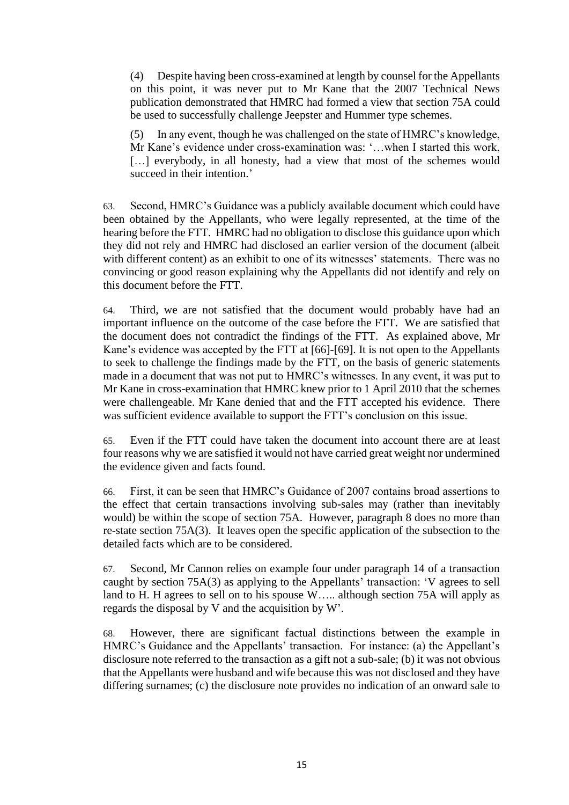(4) Despite having been cross-examined at length by counsel for the Appellants on this point, it was never put to Mr Kane that the 2007 Technical News publication demonstrated that HMRC had formed a view that section 75A could be used to successfully challenge Jeepster and Hummer type schemes.

(5) In any event, though he was challenged on the state of HMRC's knowledge, Mr Kane's evidence under cross-examination was: '…when I started this work, [...] everybody, in all honesty, had a view that most of the schemes would succeed in their intention.'

63. Second, HMRC's Guidance was a publicly available document which could have been obtained by the Appellants, who were legally represented, at the time of the hearing before the FTT. HMRC had no obligation to disclose this guidance upon which they did not rely and HMRC had disclosed an earlier version of the document (albeit with different content) as an exhibit to one of its witnesses' statements. There was no convincing or good reason explaining why the Appellants did not identify and rely on this document before the FTT.

64. Third, we are not satisfied that the document would probably have had an important influence on the outcome of the case before the FTT. We are satisfied that the document does not contradict the findings of the FTT. As explained above, Mr Kane's evidence was accepted by the FTT at [66]-[69]. It is not open to the Appellants to seek to challenge the findings made by the FTT, on the basis of generic statements made in a document that was not put to HMRC's witnesses. In any event, it was put to Mr Kane in cross-examination that HMRC knew prior to 1 April 2010 that the schemes were challengeable. Mr Kane denied that and the FTT accepted his evidence. There was sufficient evidence available to support the FTT's conclusion on this issue.

65. Even if the FTT could have taken the document into account there are at least four reasons why we are satisfied it would not have carried great weight nor undermined the evidence given and facts found.

66. First, it can be seen that HMRC's Guidance of 2007 contains broad assertions to the effect that certain transactions involving sub-sales may (rather than inevitably would) be within the scope of section 75A. However, paragraph 8 does no more than re-state section 75A(3). It leaves open the specific application of the subsection to the detailed facts which are to be considered.

67. Second, Mr Cannon relies on example four under paragraph 14 of a transaction caught by section 75A(3) as applying to the Appellants' transaction: 'V agrees to sell land to H. H agrees to sell on to his spouse W….. although section 75A will apply as regards the disposal by V and the acquisition by W'.

68. However, there are significant factual distinctions between the example in HMRC's Guidance and the Appellants' transaction. For instance: (a) the Appellant's disclosure note referred to the transaction as a gift not a sub-sale; (b) it was not obvious that the Appellants were husband and wife because this was not disclosed and they have differing surnames; (c) the disclosure note provides no indication of an onward sale to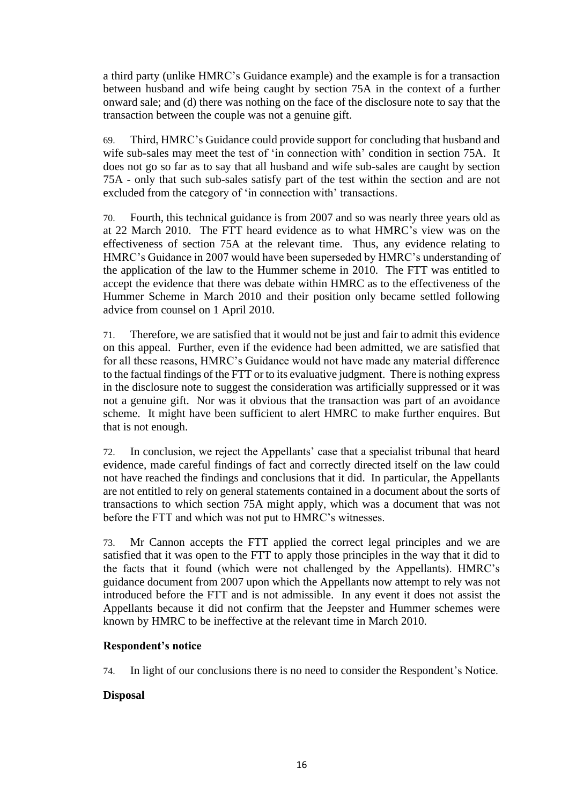a third party (unlike HMRC's Guidance example) and the example is for a transaction between husband and wife being caught by section 75A in the context of a further onward sale; and (d) there was nothing on the face of the disclosure note to say that the transaction between the couple was not a genuine gift.

69. Third, HMRC's Guidance could provide support for concluding that husband and wife sub-sales may meet the test of 'in connection with' condition in section 75A. It does not go so far as to say that all husband and wife sub-sales are caught by section 75A - only that such sub-sales satisfy part of the test within the section and are not excluded from the category of 'in connection with' transactions.

70. Fourth, this technical guidance is from 2007 and so was nearly three years old as at 22 March 2010. The FTT heard evidence as to what HMRC's view was on the effectiveness of section 75A at the relevant time. Thus, any evidence relating to HMRC's Guidance in 2007 would have been superseded by HMRC's understanding of the application of the law to the Hummer scheme in 2010. The FTT was entitled to accept the evidence that there was debate within HMRC as to the effectiveness of the Hummer Scheme in March 2010 and their position only became settled following advice from counsel on 1 April 2010.

71. Therefore, we are satisfied that it would not be just and fair to admit this evidence on this appeal. Further, even if the evidence had been admitted, we are satisfied that for all these reasons, HMRC's Guidance would not have made any material difference to the factual findings of the FTT or to its evaluative judgment. There is nothing express in the disclosure note to suggest the consideration was artificially suppressed or it was not a genuine gift. Nor was it obvious that the transaction was part of an avoidance scheme. It might have been sufficient to alert HMRC to make further enquires. But that is not enough.

72. In conclusion, we reject the Appellants' case that a specialist tribunal that heard evidence, made careful findings of fact and correctly directed itself on the law could not have reached the findings and conclusions that it did. In particular, the Appellants are not entitled to rely on general statements contained in a document about the sorts of transactions to which section 75A might apply, which was a document that was not before the FTT and which was not put to HMRC's witnesses.

73. Mr Cannon accepts the FTT applied the correct legal principles and we are satisfied that it was open to the FTT to apply those principles in the way that it did to the facts that it found (which were not challenged by the Appellants). HMRC's guidance document from 2007 upon which the Appellants now attempt to rely was not introduced before the FTT and is not admissible. In any event it does not assist the Appellants because it did not confirm that the Jeepster and Hummer schemes were known by HMRC to be ineffective at the relevant time in March 2010.

# **Respondent's notice**

74. In light of our conclusions there is no need to consider the Respondent's Notice.

# **Disposal**